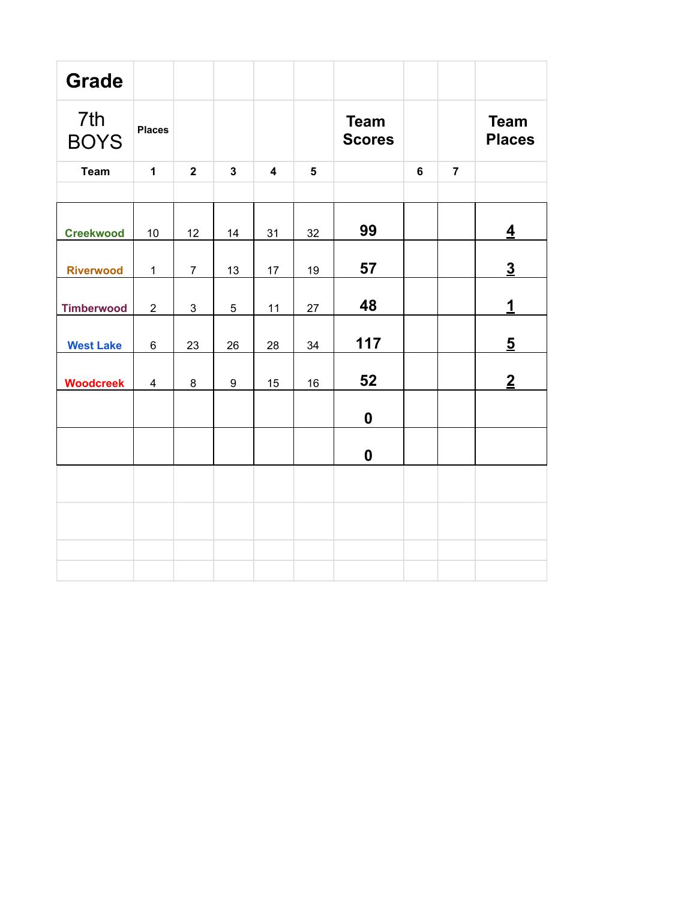| <b>Grade</b>       |                |                |              |                         |                         |                              |   |                |                              |
|--------------------|----------------|----------------|--------------|-------------------------|-------------------------|------------------------------|---|----------------|------------------------------|
| 7th<br><b>BOYS</b> | <b>Places</b>  |                |              |                         |                         | <b>Team</b><br><b>Scores</b> |   |                | <b>Team</b><br><b>Places</b> |
| <b>Team</b>        | $\mathbf{1}$   | $\overline{2}$ | $\mathbf{3}$ | $\overline{\mathbf{4}}$ | $\overline{\mathbf{5}}$ |                              | 6 | $\overline{7}$ |                              |
|                    |                |                |              |                         |                         |                              |   |                |                              |
| <b>Creekwood</b>   | 10             | 12             | 14           | 31                      | 32                      | 99                           |   |                | $\overline{4}$               |
| <b>Riverwood</b>   | $\mathbf{1}$   | $\overline{7}$ | 13           | 17                      | 19                      | 57                           |   |                | $\underline{3}$              |
| <b>Timberwood</b>  | $\overline{2}$ | $\mathbf{3}$   | 5            | 11                      | 27                      | 48                           |   |                | $\overline{1}$               |
| <b>West Lake</b>   | 6              | 23             | 26           | 28                      | 34                      | 117                          |   |                | $\overline{5}$               |
| <b>Woodcreek</b>   | $\overline{4}$ | 8              | 9            | 15                      | 16                      | 52                           |   |                | $\overline{2}$               |
|                    |                |                |              |                         |                         | $\boldsymbol{0}$             |   |                |                              |
|                    |                |                |              |                         |                         | $\boldsymbol{0}$             |   |                |                              |
|                    |                |                |              |                         |                         |                              |   |                |                              |
|                    |                |                |              |                         |                         |                              |   |                |                              |
|                    |                |                |              |                         |                         |                              |   |                |                              |
|                    |                |                |              |                         |                         |                              |   |                |                              |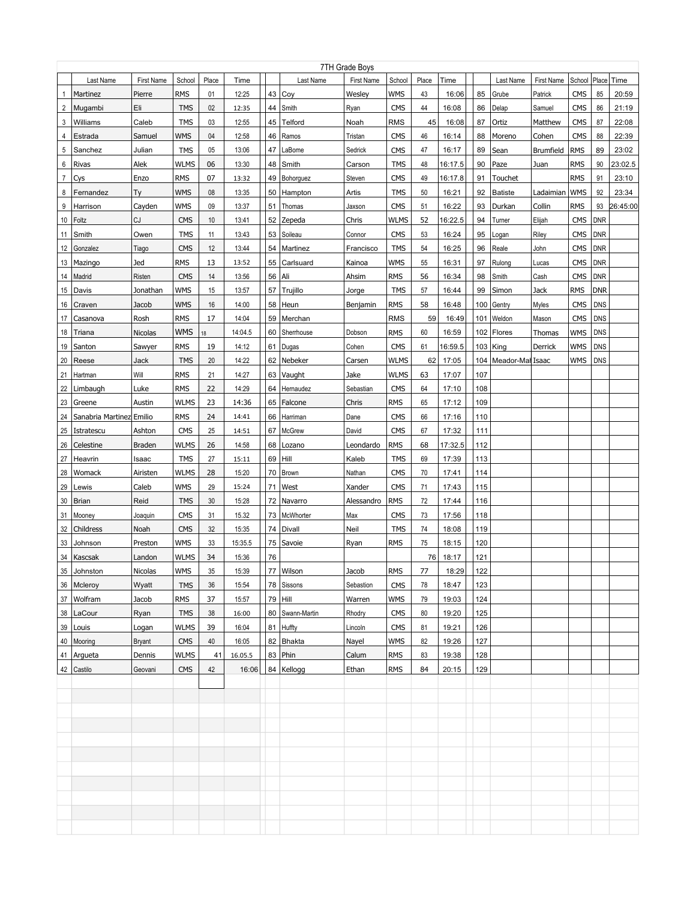|                | 7TH Grade Boys           |                   |             |       |         |    |              |                   |             |       |         |     |                  |            |              |            |          |
|----------------|--------------------------|-------------------|-------------|-------|---------|----|--------------|-------------------|-------------|-------|---------|-----|------------------|------------|--------------|------------|----------|
|                | Last Name                | <b>First Name</b> | School      | Place | Time    |    | Last Name    | <b>First Name</b> | School      | Place | Time    |     | Last Name        | First Name | School Place |            | Time     |
| 1              | Martinez                 | Pierre            | RMS         | 01    | 12:25   | 43 | Coy          | Wesley            | <b>WMS</b>  | 43    | 16:06   | 85  | Grube            | Patrick    | CMS          | 85         | 20:59    |
| $\overline{2}$ | Mugambi                  | Eli               | <b>TMS</b>  | 02    | 12:35   | 44 | Smith        | Ryan              | <b>CMS</b>  | 44    | 16:08   | 86  | Delap            | Samuel     | CMS          | 86         | 21:19    |
| 3              | Williams                 | Caleb             | <b>TMS</b>  | 03    | 12:55   | 45 | Telford      | Noah              | RMS         | 45    | 16:08   | 87  | Ortiz            | Matthew    | <b>CMS</b>   | 87         | 22:08    |
| 4              | Estrada                  | Samuel            | WMS         | 04    | 12:58   | 46 | Ramos        | Tristan           | <b>CMS</b>  | 46    | 16:14   | 88  | Moreno           | Cohen      | <b>CMS</b>   | 88         | 22:39    |
| 5              | Sanchez                  | Julian            | <b>TMS</b>  | 05    | 13:06   | 47 | LaBome       | Sedrick           | <b>CMS</b>  | 47    | 16:17   | 89  | Sean             | Brumfield  | <b>RMS</b>   | 89         | 23:02    |
| 6              | Rivas                    | Alek              | <b>WLMS</b> | 06    | 13:30   | 48 | Smith        | Carson            | <b>TMS</b>  | 48    | 16:17.5 | 90  | Paze             | Juan       | <b>RMS</b>   | 90         | 23:02.5  |
| $\overline{7}$ | Cys                      | Enzo              | <b>RMS</b>  | 07    | 13:32   | 49 | Bohorguez    | Steven            | <b>CMS</b>  | 49    | 16:17.8 | 91  | Touchet          |            | <b>RMS</b>   | 91         | 23:10    |
|                | Fernandez                |                   | <b>WMS</b>  | 08    | 13:35   |    |              |                   | <b>TMS</b>  | 50    |         | 92  | Batiste          |            | <b>WMS</b>   | 92         | 23:34    |
| 8              |                          | Тy                |             |       |         | 50 | Hampton      | Artis             |             |       | 16:21   |     |                  | Ladaimian  |              |            |          |
| 9              | Harrison                 | Cayden            | WMS         | 09    | 13:37   | 51 | Thomas       | Jaxson            | <b>CMS</b>  | 51    | 16:22   | 93  | Durkan           | Collin     | <b>RMS</b>   | 93         | 26:45:00 |
| 10             | Foltz                    | CJ                | <b>CMS</b>  | 10    | 13:41   | 52 | Zepeda       | Chris             | WLMS        | 52    | 16:22.5 | 94  | Turner           | Elijah     | <b>CMS</b>   | <b>DNR</b> |          |
| 11             | Smith                    | Owen              | <b>TMS</b>  | 11    | 13:43   | 53 | Soileau      | Connor            | <b>CMS</b>  | 53    | 16:24   | 95  | Logan            | Riley      | CMS          | <b>DNR</b> |          |
| 12             | Gonzalez                 | Tiago             | <b>CMS</b>  | 12    | 13:44   | 54 | Martinez     | Francisco         | <b>TMS</b>  | 54    | 16:25   | 96  | Reale            | John       | <b>CMS</b>   | <b>DNR</b> |          |
| 13             | Mazingo                  | Jed               | rms         | 13    | 13:52   | 55 | Carlsuard    | Kainoa            | WMS         | 55    | 16:31   | 97  | Rulong           | Lucas      | <b>CMS</b>   | <b>DNR</b> |          |
| 14             | Madrid                   | Risten            | <b>CMS</b>  | 14    | 13:56   | 56 | Ali          | Ahsim             | rms         | 56    | 16:34   | 98  | Smith            | Cash       | <b>CMS</b>   | <b>DNR</b> |          |
| 15             | Davis                    | Jonathan          | WMS         | 15    | 13:57   | 57 | Trujillo     | Jorge             | <b>TMS</b>  | 57    | 16:44   | 99  | Simon            | Jack       | <b>RMS</b>   | <b>DNR</b> |          |
| 16             | Craven                   | Jacob             | <b>WMS</b>  | 16    | 14:00   | 58 | Heun         | Benjamin          | <b>RMS</b>  | 58    | 16:48   | 100 | Gentry           | Myles      | <b>CMS</b>   | <b>DNS</b> |          |
| 17             | Casanova                 | Rosh              | <b>RMS</b>  | 17    | 14:04   | 59 | Merchan      |                   | <b>RMS</b>  | 59    | 16:49   | 101 | Weldon           | Mason      | <b>CMS</b>   | <b>DNS</b> |          |
| 18             | Triana                   | Nicolas           | WMS         | 18    | 14:04.5 | 60 | Sherrhouse   | Dobson            | rms         | 60    | 16:59   | 102 | Flores           | Thomas     | <b>WMS</b>   | <b>DNS</b> |          |
| 19             | Santon                   | Sawyer            | <b>RMS</b>  | 19    | 14:12   | 61 | Dugas        | Cohen             | <b>CMS</b>  | 61    | 16:59.5 |     | $103$ King       | Derrick    | <b>WMS</b>   | <b>DNS</b> |          |
| 20             | Reese                    | Jack              | <b>TMS</b>  | 20    | 14:22   | 62 | Nebeker      | Carsen            | <b>WLMS</b> | 62    | 17:05   | 104 | Meador-Mal Isaac |            | <b>WMS</b>   | <b>DNS</b> |          |
|                |                          |                   |             |       |         |    |              |                   |             |       |         |     |                  |            |              |            |          |
| 21             | Hartman                  | Will              | <b>RMS</b>  | 21    | 14:27   | 63 | Vaught       | Jake              | WLMS        | 63    | 17:07   | 107 |                  |            |              |            |          |
| 22             | Limbaugh                 | Luke              | <b>RMS</b>  | 22    | 14:29   | 64 | Hernaudez    | Sebastian         | <b>CMS</b>  | 64    | 17:10   | 108 |                  |            |              |            |          |
| 23             | Greene                   | Austin            | <b>WLMS</b> | 23    | 14:36   | 65 | Falcone      | Chris             | <b>RMS</b>  | 65    | 17:12   | 109 |                  |            |              |            |          |
| 24             | Sanabria Martinez Emilio |                   | RMS         | 24    | 14:41   | 66 | Harriman     | Dane              | <b>CMS</b>  | 66    | 17:16   | 110 |                  |            |              |            |          |
|                | 25   Istratescu          | Ashton            | <b>CMS</b>  | 25    | 14:51   | 67 | McGrew       | David             | <b>CMS</b>  | 67    | 17:32   | 111 |                  |            |              |            |          |
| 26             | Celestine                | <b>Braden</b>     | WLMS        | 26    | 14:58   | 68 | Lozano       | Leondardo         | rms         | 68    | 17:32.5 | 112 |                  |            |              |            |          |
| 27             | Heavrin                  | Isaac             | <b>TMS</b>  | 27    | 15:11   | 69 | Hill         | Kaleb             | <b>TMS</b>  | 69    | 17:39   | 113 |                  |            |              |            |          |
| 28             | Womack                   | Airisten          | WLMS        | 28    | 15:20   | 70 | Brown        | Nathan            | <b>CMS</b>  | 70    | 17:41   | 114 |                  |            |              |            |          |
| 29             | Lewis                    | Caleb             | WMS         | 29    | 15:24   | 71 | West         | Xander            | <b>CMS</b>  | 71    | 17:43   | 115 |                  |            |              |            |          |
| 30             | <b>Brian</b>             | Reid              | <b>TMS</b>  | 30    | 15:28   | 72 | Navarro      | Alessandro        | rms         | 72    | 17:44   | 116 |                  |            |              |            |          |
| 31             | Mooney                   | Joaquin           | <b>CMS</b>  | 31    | 15.32   | 73 | McWhorter    | Max               | <b>CMS</b>  | 73    | 17:56   | 118 |                  |            |              |            |          |
| 32             | Childress                | Noah              | <b>CMS</b>  | 32    | 15:35   | 74 | Divall       | Neil              | <b>TMS</b>  | 74    | 18:08   | 119 |                  |            |              |            |          |
| 33             | Johnson                  | Preston           | WMS         | 33    | 15:35.5 | 75 | Savoie       | Ryan              | RMS         | 75    | 18:15   | 120 |                  |            |              |            |          |
| 34             | Kascsak                  | Landon            | WLMS        | 34    | 15:36   | 76 |              |                   |             | 76    | 18:17   | 121 |                  |            |              |            |          |
| 35             | Johnston                 | <b>Nicolas</b>    | <b>WMS</b>  | 35    | 15:39   | 77 | Wilson       | Jacob             | <b>RMS</b>  | 77    | 18:29   | 122 |                  |            |              |            |          |
|                |                          |                   |             |       |         |    |              |                   |             |       |         |     |                  |            |              |            |          |
|                | 36   Mcleroy             | Wyatt             | <b>TMS</b>  | 36    | 15:54   |    | 78 Sissons   | Sebastion         | <b>CMS</b>  | 78    | 18:47   | 123 |                  |            |              |            |          |
|                | 37   Wolfram             | Jacob             | <b>RMS</b>  | 37    | 15:57   | 79 | Hill         | Warren            | <b>WMS</b>  | 79    | 19:03   | 124 |                  |            |              |            |          |
| 38             | LaCour                   | Ryan              | <b>TMS</b>  | 38    | 16:00   | 80 | Swann-Martin | Rhodry            | <b>CMS</b>  | 80    | 19:20   | 125 |                  |            |              |            |          |
| 39             | Louis                    | Logan             | <b>WLMS</b> | 39    | 16:04   | 81 | Huffty       | Lincoln           | <b>CMS</b>  | 81    | 19:21   | 126 |                  |            |              |            |          |
| 40             | Mooring                  | <b>Bryant</b>     | <b>CMS</b>  | 40    | 16:05   | 82 | Bhakta       | Nayel             | <b>WMS</b>  | 82    | 19:26   | 127 |                  |            |              |            |          |
| 41             | Argueta                  | Dennis            | <b>WLMS</b> | 41    | 16.05.5 | 83 | Phin         | Calum             | <b>RMS</b>  | 83    | 19:38   | 128 |                  |            |              |            |          |
|                | 42 Castilo               | Geovani           | <b>CMS</b>  | 42    | 16:06   | 84 | Kellogg      | Ethan             | <b>RMS</b>  | 84    | 20:15   | 129 |                  |            |              |            |          |
|                |                          |                   |             |       |         |    |              |                   |             |       |         |     |                  |            |              |            |          |
|                |                          |                   |             |       |         |    |              |                   |             |       |         |     |                  |            |              |            |          |
|                |                          |                   |             |       |         |    |              |                   |             |       |         |     |                  |            |              |            |          |
|                |                          |                   |             |       |         |    |              |                   |             |       |         |     |                  |            |              |            |          |
|                |                          |                   |             |       |         |    |              |                   |             |       |         |     |                  |            |              |            |          |
|                |                          |                   |             |       |         |    |              |                   |             |       |         |     |                  |            |              |            |          |
|                |                          |                   |             |       |         |    |              |                   |             |       |         |     |                  |            |              |            |          |
|                |                          |                   |             |       |         |    |              |                   |             |       |         |     |                  |            |              |            |          |
|                |                          |                   |             |       |         |    |              |                   |             |       |         |     |                  |            |              |            |          |
|                |                          |                   |             |       |         |    |              |                   |             |       |         |     |                  |            |              |            |          |
|                |                          |                   |             |       |         |    |              |                   |             |       |         |     |                  |            |              |            |          |
|                |                          |                   |             |       |         |    |              |                   |             |       |         |     |                  |            |              |            |          |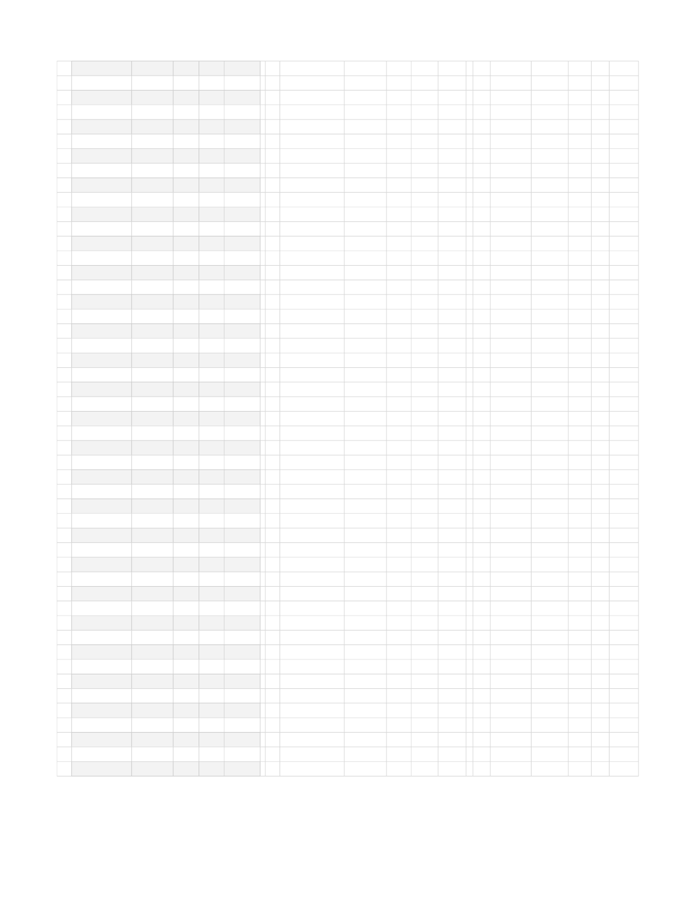|  |  | in a |  |  |  |  |  |  |  |
|--|--|------|--|--|--|--|--|--|--|
|  |  |      |  |  |  |  |  |  |  |
|  |  |      |  |  |  |  |  |  |  |
|  |  |      |  |  |  |  |  |  |  |
|  |  |      |  |  |  |  |  |  |  |
|  |  |      |  |  |  |  |  |  |  |
|  |  |      |  |  |  |  |  |  |  |
|  |  |      |  |  |  |  |  |  |  |
|  |  |      |  |  |  |  |  |  |  |
|  |  |      |  |  |  |  |  |  |  |
|  |  |      |  |  |  |  |  |  |  |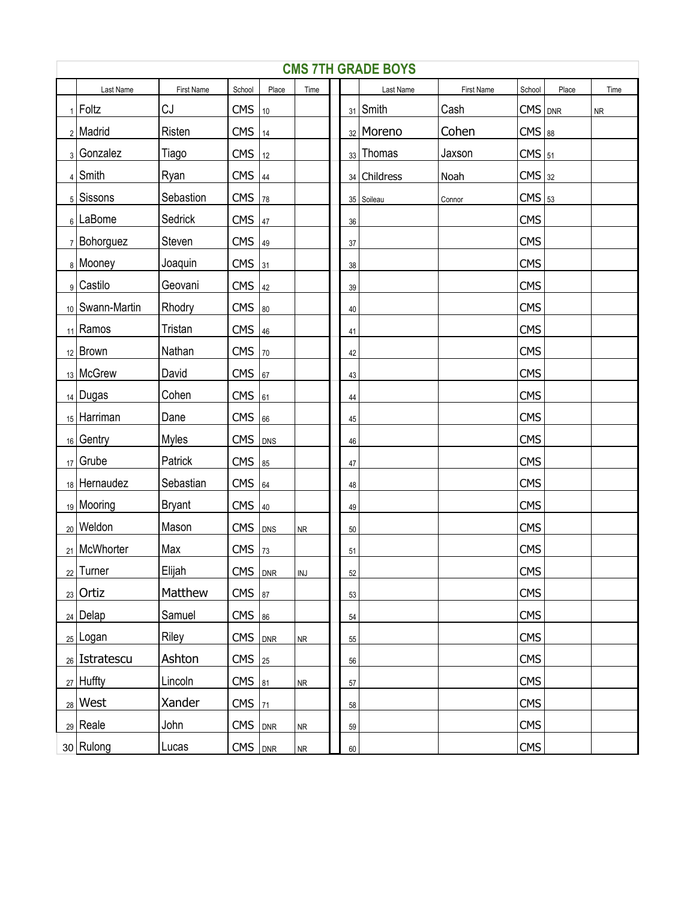| <b>CMS 7TH GRADE BOYS</b> |               |                      |            |           |  |    |              |            |                     |       |            |  |  |
|---------------------------|---------------|----------------------|------------|-----------|--|----|--------------|------------|---------------------|-------|------------|--|--|
| Last Name                 | First Name    | School               | Place      | Time      |  |    | Last Name    | First Name | School              | Place | Time       |  |  |
| $1$ Foltz                 | CJ            | <b>CMS</b>           | $10$       |           |  |    | $31$ Smith   | Cash       | $CMS$ DNR           |       | ${\sf NR}$ |  |  |
| $2$ Madrid                | Risten        | <b>CMS</b>           | 14         |           |  |    | 32 Moreno    | Cohen      | $CMS$ 88            |       |            |  |  |
| 3 Gonzalez                | Tiago         | <b>CMS</b>           | 12         |           |  |    | 33 Thomas    | Jaxson     | $CMS$ 51            |       |            |  |  |
| $4$ Smith                 | Ryan          | <b>CMS</b>           | $44\,$     |           |  |    | 34 Childress | Noah       | $CMS$ <sub>32</sub> |       |            |  |  |
| 5 Sissons                 | Sebastion     | <b>CMS</b>           | 78         |           |  |    | 35 Soileau   | Connor     | $CMS$ <sub>53</sub> |       |            |  |  |
| 6 LaBome                  | Sedrick       | <b>CMS</b>           | $47\,$     |           |  | 36 |              |            | <b>CMS</b>          |       |            |  |  |
| $7$ Bohorguez             | Steven        | <b>CMS</b>           | 49         |           |  | 37 |              |            | <b>CMS</b>          |       |            |  |  |
| 8 Mooney                  | Joaquin       | <b>CMS</b>           | 31         |           |  | 38 |              |            | <b>CMS</b>          |       |            |  |  |
| 9 Castilo                 | Geovani       | <b>CMS</b>           | 42         |           |  | 39 |              |            | <b>CMS</b>          |       |            |  |  |
| 10 Swann-Martin           | Rhodry        | <b>CMS</b>           | 80         |           |  | 40 |              |            | <b>CMS</b>          |       |            |  |  |
| $_{11}$ Ramos             | Tristan       | <b>CMS</b>           | 46         |           |  | 41 |              |            | <b>CMS</b>          |       |            |  |  |
| $_{12}$ Brown             | Nathan        | <b>CMS</b>           | $70\,$     |           |  | 42 |              |            | <b>CMS</b>          |       |            |  |  |
| 13 McGrew                 | David         | <b>CMS</b>           | 67         |           |  | 43 |              |            | <b>CMS</b>          |       |            |  |  |
| $_{14}$ Dugas             | Cohen         | <b>CMS</b>           | 61         |           |  | 44 |              |            | <b>CMS</b>          |       |            |  |  |
| $15$ Harriman             | Dane          | <b>CMS</b>           | 66         |           |  | 45 |              |            | <b>CMS</b>          |       |            |  |  |
| $_{16}$ Gentry            | Myles         | <b>CMS</b>           | <b>DNS</b> |           |  | 46 |              |            | <b>CMS</b>          |       |            |  |  |
| $17$ Grube                | Patrick       | <b>CMS</b>           | 85         |           |  | 47 |              |            | <b>CMS</b>          |       |            |  |  |
| 18 Hernaudez              | Sebastian     | <b>CMS</b>           | 64         |           |  | 48 |              |            | <b>CMS</b>          |       |            |  |  |
| 19 Mooring                | <b>Bryant</b> | <b>CMS</b>           | 40         |           |  | 49 |              |            | <b>CMS</b>          |       |            |  |  |
| <sub>20</sub> Weldon      | Mason         | <b>CMS</b>           | <b>DNS</b> | <b>NR</b> |  | 50 |              |            | <b>CMS</b>          |       |            |  |  |
| <sub>21</sub> McWhorter   | Max           | <b>CMS</b>           | 73         |           |  | 51 |              |            | <b>CMS</b>          |       |            |  |  |
| $_{22}$ Turner            | Elijah        | CMS   <sub>DNR</sub> |            | INJ       |  | 52 |              |            | <b>CMS</b>          |       |            |  |  |
| $_{23}$ Ortiz             | Matthew       | <b>CMS</b>           | ${\bf 87}$ |           |  | 53 |              |            | <b>CMS</b>          |       |            |  |  |
| $_{24}$ Delap             | Samuel        | <b>CMS</b>           | 86         |           |  | 54 |              |            | <b>CMS</b>          |       |            |  |  |
| $_{25}$   Logan           | Riley         | <b>CMS</b>           | <b>DNR</b> | <b>NR</b> |  | 55 |              |            | <b>CMS</b>          |       |            |  |  |
| $_{26}$ Istratescu        | Ashton        | <b>CMS</b>           | 25         |           |  | 56 |              |            | <b>CMS</b>          |       |            |  |  |
| $_{27}$ Huffty            | Lincoln       | <b>CMS</b>           | 81         | NR        |  | 57 |              |            | <b>CMS</b>          |       |            |  |  |
| $_{28}$ West              | Xander        | <b>CMS</b>           | 71         |           |  | 58 |              |            | <b>CMS</b>          |       |            |  |  |
| $_{29}$ Reale             | John          | <b>CMS</b>           | <b>DNR</b> | <b>NR</b> |  | 59 |              |            | <b>CMS</b>          |       |            |  |  |
| 30 Rulong                 | Lucas         | $CMS \vert_{DNR}$    |            | <b>NR</b> |  | 60 |              |            | <b>CMS</b>          |       |            |  |  |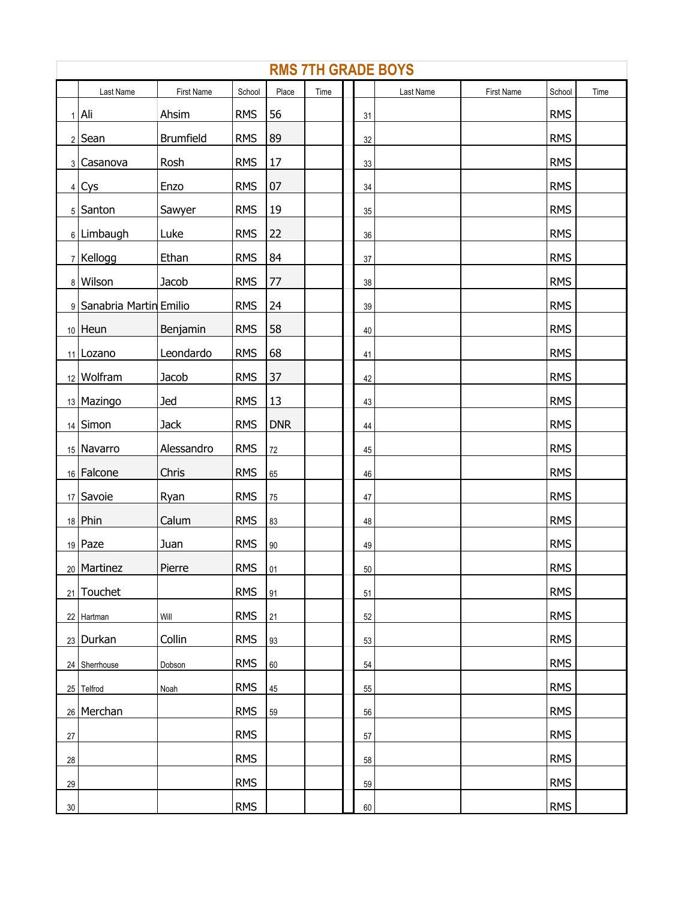|        | <b>RMS 7TH GRADE BOYS</b> |                  |            |            |      |  |    |           |            |            |      |  |  |  |
|--------|---------------------------|------------------|------------|------------|------|--|----|-----------|------------|------------|------|--|--|--|
|        | Last Name                 | First Name       | School     | Place      | Time |  |    | Last Name | First Name | School     | Time |  |  |  |
|        | $1$ Ali                   | Ahsim            | <b>RMS</b> | 56         |      |  | 31 |           |            | <b>RMS</b> |      |  |  |  |
|        | $2$ Sean                  | <b>Brumfield</b> | <b>RMS</b> | 89         |      |  | 32 |           |            | <b>RMS</b> |      |  |  |  |
|        | 3 Casanova                | Rosh             | <b>RMS</b> | 17         |      |  | 33 |           |            | <b>RMS</b> |      |  |  |  |
|        | $4$ Cys                   | Enzo             | <b>RMS</b> | 07         |      |  | 34 |           |            | <b>RMS</b> |      |  |  |  |
|        | 5 Santon                  | Sawyer           | <b>RMS</b> | 19         |      |  | 35 |           |            | <b>RMS</b> |      |  |  |  |
|        | $6$ Limbaugh              | Luke             | <b>RMS</b> | 22         |      |  | 36 |           |            | <b>RMS</b> |      |  |  |  |
|        | $7$ Kellogg               | Ethan            | <b>RMS</b> | 84         |      |  | 37 |           |            | <b>RMS</b> |      |  |  |  |
|        | 8 Wilson                  | Jacob            | <b>RMS</b> | 77         |      |  | 38 |           |            | <b>RMS</b> |      |  |  |  |
|        | 9 Sanabria Martin Emilio  |                  | <b>RMS</b> | 24         |      |  | 39 |           |            | <b>RMS</b> |      |  |  |  |
|        | $10$ Heun                 | Benjamin         | <b>RMS</b> | 58         |      |  | 40 |           |            | <b>RMS</b> |      |  |  |  |
|        | 11 Lozano                 | Leondardo        | <b>RMS</b> | 68         |      |  | 41 |           |            | <b>RMS</b> |      |  |  |  |
|        | 12 Wolfram                | Jacob            | <b>RMS</b> | 37         |      |  | 42 |           |            | <b>RMS</b> |      |  |  |  |
|        | 13 Mazingo                | Jed              | <b>RMS</b> | 13         |      |  | 43 |           |            | <b>RMS</b> |      |  |  |  |
|        | $14$ Simon                | <b>Jack</b>      | <b>RMS</b> | <b>DNR</b> |      |  | 44 |           |            | <b>RMS</b> |      |  |  |  |
|        | 15   Navarro              | Alessandro       | <b>RMS</b> | $72\,$     |      |  | 45 |           |            | <b>RMS</b> |      |  |  |  |
|        | 16 Falcone                | Chris            | <b>RMS</b> | 65         |      |  | 46 |           |            | <b>RMS</b> |      |  |  |  |
|        | $17$ Savoie               | Ryan             | <b>RMS</b> | ${\bf 75}$ |      |  | 47 |           |            | <b>RMS</b> |      |  |  |  |
|        | $18$ Phin                 | Calum            | <b>RMS</b> | 83         |      |  | 48 |           |            | <b>RMS</b> |      |  |  |  |
|        | $19$ Paze                 | Juan             | <b>RMS</b> | $90\,$     |      |  | 49 |           |            | <b>RMS</b> |      |  |  |  |
|        | 20 Martinez               | Pierre           | <b>RMS</b> | 01         |      |  | 50 |           |            | <b>RMS</b> |      |  |  |  |
|        | $21$ Touchet              |                  | <b>RMS</b> | 91         |      |  | 51 |           |            | <b>RMS</b> |      |  |  |  |
|        | 22 Hartman                | Will             | <b>RMS</b> | 21         |      |  | 52 |           |            | <b>RMS</b> |      |  |  |  |
|        | $23$ Durkan               | Collin           | <b>RMS</b> | 93         |      |  | 53 |           |            | <b>RMS</b> |      |  |  |  |
|        | 24   Sherrhouse           | Dobson           | <b>RMS</b> | 60         |      |  | 54 |           |            | <b>RMS</b> |      |  |  |  |
|        | 25 Telfrod                | Noah             | <b>RMS</b> | 45         |      |  | 55 |           |            | <b>RMS</b> |      |  |  |  |
|        | 26 Merchan                |                  | <b>RMS</b> | 59         |      |  | 56 |           |            | <b>RMS</b> |      |  |  |  |
| $27\,$ |                           |                  | <b>RMS</b> |            |      |  | 57 |           |            | <b>RMS</b> |      |  |  |  |
| 28     |                           |                  | <b>RMS</b> |            |      |  | 58 |           |            | <b>RMS</b> |      |  |  |  |
| 29     |                           |                  | <b>RMS</b> |            |      |  | 59 |           |            | <b>RMS</b> |      |  |  |  |
| $30\,$ |                           |                  | <b>RMS</b> |            |      |  | 60 |           |            | <b>RMS</b> |      |  |  |  |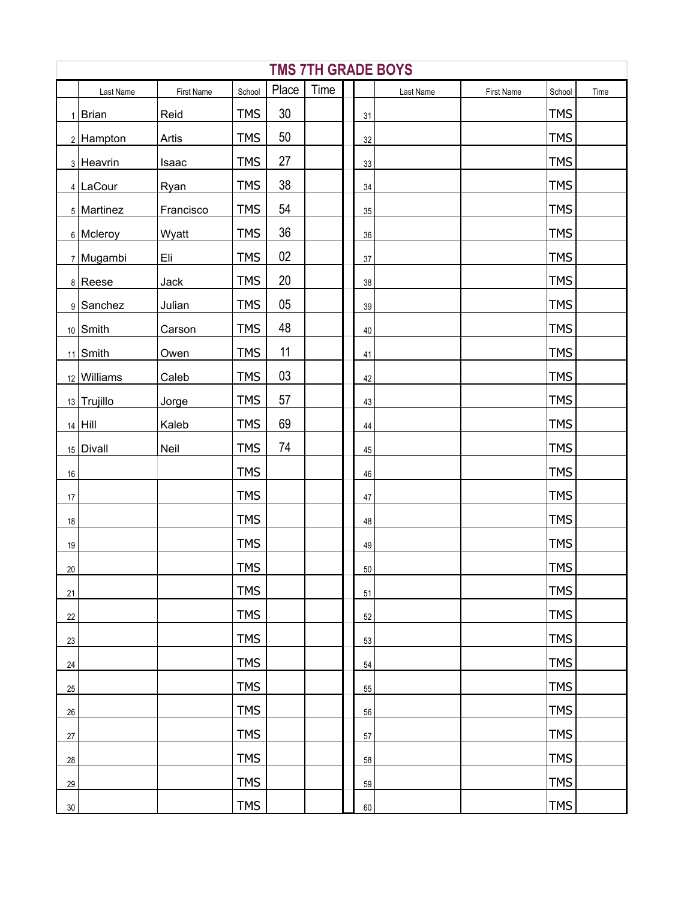|        | <b>TMS 7TH GRADE BOYS</b> |            |            |       |      |  |        |           |            |            |      |  |  |  |
|--------|---------------------------|------------|------------|-------|------|--|--------|-----------|------------|------------|------|--|--|--|
|        | Last Name                 | First Name | School     | Place | Time |  |        | Last Name | First Name | School     | Time |  |  |  |
|        | $1$ Brian                 | Reid       | <b>TMS</b> | 30    |      |  | 31     |           |            | <b>TMS</b> |      |  |  |  |
|        | $2$ Hampton               | Artis      | <b>TMS</b> | 50    |      |  | 32     |           |            | <b>TMS</b> |      |  |  |  |
|        | 3 Heavrin                 | Isaac      | <b>TMS</b> | 27    |      |  | $33\,$ |           |            | <b>TMS</b> |      |  |  |  |
|        | $4$ LaCour                | Ryan       | <b>TMS</b> | 38    |      |  | 34     |           |            | <b>TMS</b> |      |  |  |  |
|        | 5 Martinez                | Francisco  | <b>TMS</b> | 54    |      |  | 35     |           |            | <b>TMS</b> |      |  |  |  |
|        | 6 Mcleroy                 | Wyatt      | <b>TMS</b> | 36    |      |  | 36     |           |            | <b>TMS</b> |      |  |  |  |
|        | 7 Mugambi                 | Eli        | <b>TMS</b> | 02    |      |  | 37     |           |            | <b>TMS</b> |      |  |  |  |
|        | $8$ Reese                 | Jack       | <b>TMS</b> | 20    |      |  | 38     |           |            | <b>TMS</b> |      |  |  |  |
|        | 9 Sanchez                 | Julian     | <b>TMS</b> | 05    |      |  | 39     |           |            | <b>TMS</b> |      |  |  |  |
|        | $10$ Smith                | Carson     | <b>TMS</b> | 48    |      |  | 40     |           |            | <b>TMS</b> |      |  |  |  |
|        | $11$ Smith                | Owen       | <b>TMS</b> | 11    |      |  | 41     |           |            | <b>TMS</b> |      |  |  |  |
|        | 12 Williams               | Caleb      | <b>TMS</b> | 03    |      |  | 42     |           |            | <b>TMS</b> |      |  |  |  |
|        | 13 Trujillo               | Jorge      | <b>TMS</b> | 57    |      |  | 43     |           |            | <b>TMS</b> |      |  |  |  |
|        | $14$ Hill                 | Kaleb      | <b>TMS</b> | 69    |      |  | 44     |           |            | <b>TMS</b> |      |  |  |  |
|        | $15$ Divall               | Neil       | <b>TMS</b> | 74    |      |  | 45     |           |            | <b>TMS</b> |      |  |  |  |
| 16     |                           |            | <b>TMS</b> |       |      |  | 46     |           |            | <b>TMS</b> |      |  |  |  |
| 17     |                           |            | <b>TMS</b> |       |      |  | 47     |           |            | <b>TMS</b> |      |  |  |  |
| $18\,$ |                           |            | <b>TMS</b> |       |      |  | 48     |           |            | <b>TMS</b> |      |  |  |  |
| 19     |                           |            | <b>TMS</b> |       |      |  | 49     |           |            | <b>TMS</b> |      |  |  |  |
| 20     |                           |            | <b>TMS</b> |       |      |  | $50\,$ |           |            | <b>TMS</b> |      |  |  |  |
| 21     |                           |            | <b>TMS</b> |       |      |  | 51     |           |            | <b>TMS</b> |      |  |  |  |
| 22     |                           |            | <b>TMS</b> |       |      |  | 52     |           |            | <b>TMS</b> |      |  |  |  |
| 23     |                           |            | <b>TMS</b> |       |      |  | 53     |           |            | <b>TMS</b> |      |  |  |  |
| 24     |                           |            | <b>TMS</b> |       |      |  | 54     |           |            | <b>TMS</b> |      |  |  |  |
| $25\,$ |                           |            | <b>TMS</b> |       |      |  | 55     |           |            | <b>TMS</b> |      |  |  |  |
| 26     |                           |            | <b>TMS</b> |       |      |  | 56     |           |            | <b>TMS</b> |      |  |  |  |
| 27     |                           |            | <b>TMS</b> |       |      |  | 57     |           |            | <b>TMS</b> |      |  |  |  |
| 28     |                           |            | <b>TMS</b> |       |      |  | 58     |           |            | <b>TMS</b> |      |  |  |  |
| 29     |                           |            | <b>TMS</b> |       |      |  | 59     |           |            | <b>TMS</b> |      |  |  |  |
| $30\,$ |                           |            | <b>TMS</b> |       |      |  | 60     |           |            | <b>TMS</b> |      |  |  |  |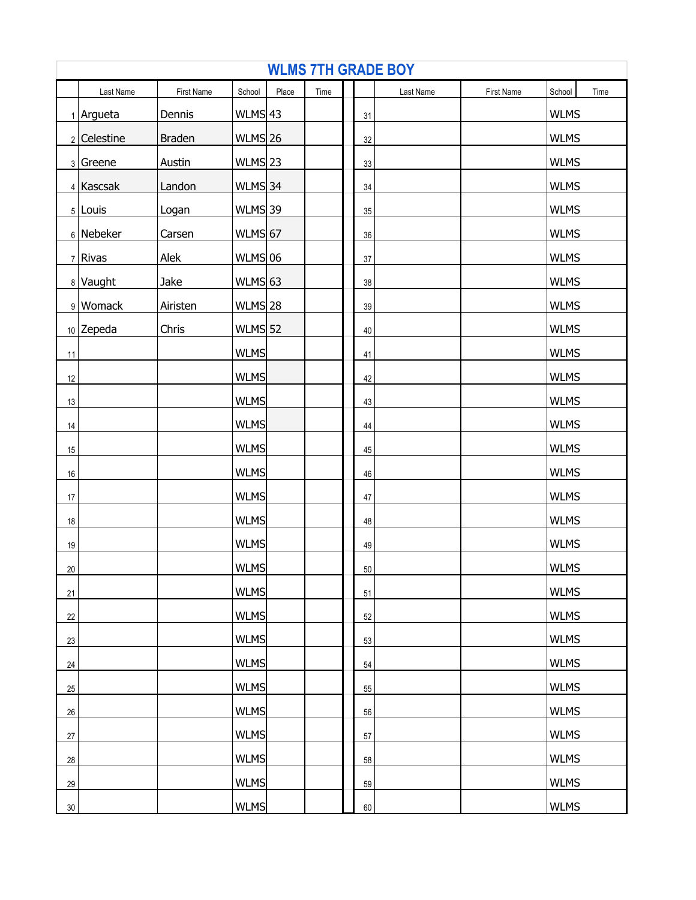|        | <b>WLMS 7TH GRADE BOY</b> |               |                |       |      |        |           |                   |                |  |  |  |  |
|--------|---------------------------|---------------|----------------|-------|------|--------|-----------|-------------------|----------------|--|--|--|--|
|        | Last Name                 | First Name    | School         | Place | Time |        | Last Name | <b>First Name</b> | School<br>Time |  |  |  |  |
|        | 1 Argueta                 | Dennis        | $WLMS$ 43      |       |      | 31     |           |                   | <b>WLMS</b>    |  |  |  |  |
|        | $2$ Celestine             | <b>Braden</b> | WLMS 26        |       |      | 32     |           |                   | <b>WLMS</b>    |  |  |  |  |
|        | 3 Greene                  | Austin        | WLMS 23        |       |      | 33     |           |                   | <b>WLMS</b>    |  |  |  |  |
|        | $4$ Kascsak               | Landon        | WLMS 34        |       |      | 34     |           |                   | <b>WLMS</b>    |  |  |  |  |
|        | $5$ Louis                 | Logan         | WLMS 39        |       |      | 35     |           |                   | <b>WLMS</b>    |  |  |  |  |
|        | 6 Nebeker                 | Carsen        | WLMS 67        |       |      | 36     |           |                   | <b>WLMS</b>    |  |  |  |  |
|        | $7$ Rivas                 | Alek          | WLMS 06        |       |      | $37\,$ |           |                   | <b>WLMS</b>    |  |  |  |  |
|        | 8 Vaught                  | Jake          | WLMS 63        |       |      | 38     |           |                   | <b>WLMS</b>    |  |  |  |  |
|        | 9 Womack                  | Airisten      | WLMS 28        |       |      | 39     |           |                   | <b>WLMS</b>    |  |  |  |  |
|        | 10 Zepeda                 | Chris         | <b>WLMS</b> 52 |       |      | 40     |           |                   | <b>WLMS</b>    |  |  |  |  |
| 11     |                           |               | <b>WLMS</b>    |       |      | 41     |           |                   | <b>WLMS</b>    |  |  |  |  |
| 12     |                           |               | <b>WLMS</b>    |       |      | 42     |           |                   | <b>WLMS</b>    |  |  |  |  |
| 13     |                           |               | <b>WLMS</b>    |       |      | 43     |           |                   | <b>WLMS</b>    |  |  |  |  |
| 14     |                           |               | <b>WLMS</b>    |       |      | 44     |           |                   | <b>WLMS</b>    |  |  |  |  |
| 15     |                           |               | <b>WLMS</b>    |       |      | $45\,$ |           |                   | <b>WLMS</b>    |  |  |  |  |
| $16\,$ |                           |               | <b>WLMS</b>    |       |      | 46     |           |                   | <b>WLMS</b>    |  |  |  |  |
| $17\,$ |                           |               | <b>WLMS</b>    |       |      | 47     |           |                   | <b>WLMS</b>    |  |  |  |  |
| $18\,$ |                           |               | <b>WLMS</b>    |       |      | 48     |           |                   | <b>WLMS</b>    |  |  |  |  |
| 19     |                           |               | <b>WLMS</b>    |       |      | 49     |           |                   | <b>WLMS</b>    |  |  |  |  |
| 20     |                           |               | <b>WLMS</b>    |       |      | 50     |           |                   | <b>WLMS</b>    |  |  |  |  |
| 21     |                           |               | <b>WLMS</b>    |       |      | 51     |           |                   | <b>WLMS</b>    |  |  |  |  |
| $22\,$ |                           |               | <b>WLMS</b>    |       |      | 52     |           |                   | <b>WLMS</b>    |  |  |  |  |
| 23     |                           |               | <b>WLMS</b>    |       |      | 53     |           |                   | <b>WLMS</b>    |  |  |  |  |
| 24     |                           |               | <b>WLMS</b>    |       |      | 54     |           |                   | <b>WLMS</b>    |  |  |  |  |
| $25\,$ |                           |               | <b>WLMS</b>    |       |      | 55     |           |                   | <b>WLMS</b>    |  |  |  |  |
| $26\,$ |                           |               | <b>WLMS</b>    |       |      | 56     |           |                   | <b>WLMS</b>    |  |  |  |  |
| $27\,$ |                           |               | <b>WLMS</b>    |       |      | 57     |           |                   | <b>WLMS</b>    |  |  |  |  |
| $28\,$ |                           |               | <b>WLMS</b>    |       |      | 58     |           |                   | <b>WLMS</b>    |  |  |  |  |
| 29     |                           |               | <b>WLMS</b>    |       |      | 59     |           |                   | <b>WLMS</b>    |  |  |  |  |
| $30\,$ |                           |               | <b>WLMS</b>    |       |      | 60     |           |                   | <b>WLMS</b>    |  |  |  |  |